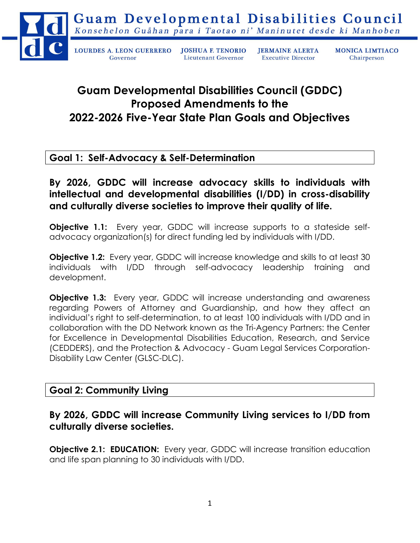

## Guam Developmental Disabilities Council (GDDC) Proposed Amendments to the 2022-2026 Five-Year State Plan Goals and Objectives

## Goal 1: Self-Advocacy & Self-Determination

By 2026, GDDC will increase advocacy skills to individuals with intellectual and developmental disabilities (I/DD) in cross-disability and culturally diverse societies to improve their quality of life.

**Objective 1.1:** Every year, GDDC will increase supports to a stateside selfadvocacy organization(s) for direct funding led by individuals with I/DD.

**Objective 1.2:** Every year, GDDC will increase knowledge and skills to at least 30 individuals with I/DD through self-advocacy leadership training and development.

**Objective 1.3:** Every year, GDDC will increase understanding and awareness regarding Powers of Attorney and Guardianship, and how they affect an individual's right to self-determination, to at least 100 individuals with I/DD and in collaboration with the DD Network known as the Tri-Agency Partners: the Center for Excellence in Developmental Disabilities Education, Research, and Service (CEDDERS), and the Protection & Advocacy - Guam Legal Services Corporation-Disability Law Center (GLSC-DLC).

## Goal 2: Community Living

## By 2026, GDDC will increase Community Living services to I/DD from culturally diverse societies.

**Objective 2.1: EDUCATION:** Every year, GDDC will increase transition education and life span planning to 30 individuals with I/DD.